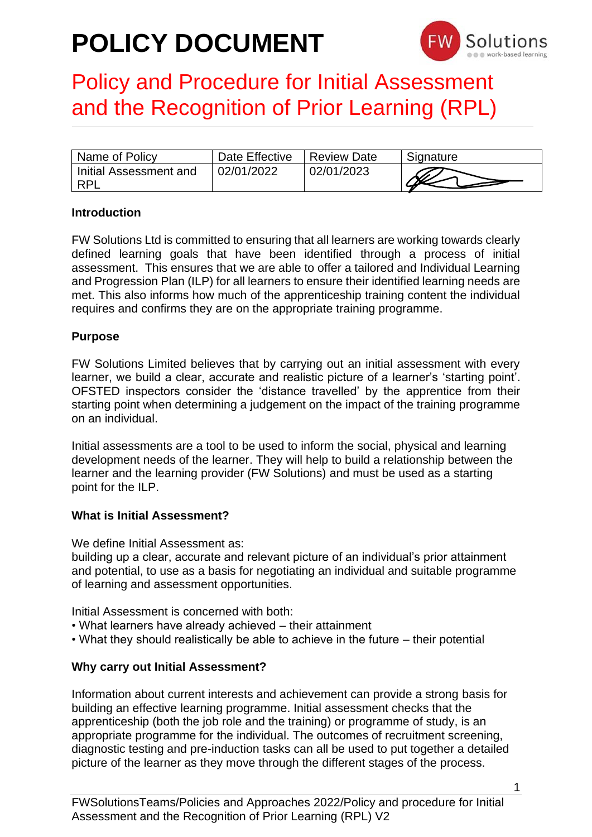

## Policy and Procedure for Initial Assessment and the Recognition of Prior Learning (RPL)

| Name of Policy                       | Date Effective | <b>Review Date</b> | Signature |
|--------------------------------------|----------------|--------------------|-----------|
| Initial Assessment and<br><b>RPL</b> | 02/01/2022     | 02/01/2023         |           |

#### **Introduction**

FW Solutions Ltd is committed to ensuring that all learners are working towards clearly defined learning goals that have been identified through a process of initial assessment. This ensures that we are able to offer a tailored and Individual Learning and Progression Plan (ILP) for all learners to ensure their identified learning needs are met. This also informs how much of the apprenticeship training content the individual requires and confirms they are on the appropriate training programme.

#### **Purpose**

FW Solutions Limited believes that by carrying out an initial assessment with every learner, we build a clear, accurate and realistic picture of a learner's 'starting point'. OFSTED inspectors consider the 'distance travelled' by the apprentice from their starting point when determining a judgement on the impact of the training programme on an individual.

Initial assessments are a tool to be used to inform the social, physical and learning development needs of the learner. They will help to build a relationship between the learner and the learning provider (FW Solutions) and must be used as a starting point for the ILP.

#### **What is Initial Assessment?**

We define Initial Assessment as:

building up a clear, accurate and relevant picture of an individual's prior attainment and potential, to use as a basis for negotiating an individual and suitable programme of learning and assessment opportunities.

Initial Assessment is concerned with both:

- What learners have already achieved their attainment
- What they should realistically be able to achieve in the future their potential

#### **Why carry out Initial Assessment?**

Information about current interests and achievement can provide a strong basis for building an effective learning programme. Initial assessment checks that the apprenticeship (both the job role and the training) or programme of study, is an appropriate programme for the individual. The outcomes of recruitment screening, diagnostic testing and pre-induction tasks can all be used to put together a detailed picture of the learner as they move through the different stages of the process.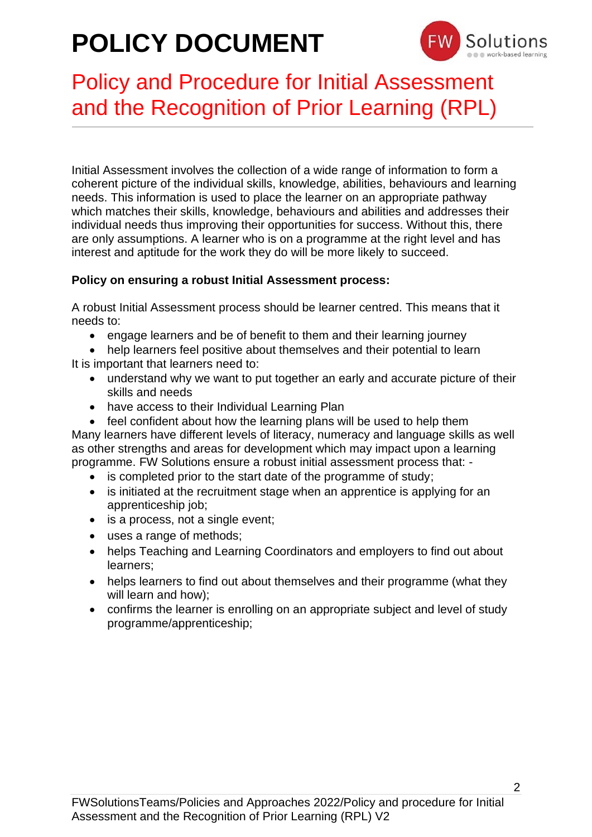

## Policy and Procedure for Initial Assessment and the Recognition of Prior Learning (RPL)

Initial Assessment involves the collection of a wide range of information to form a coherent picture of the individual skills, knowledge, abilities, behaviours and learning needs. This information is used to place the learner on an appropriate pathway which matches their skills, knowledge, behaviours and abilities and addresses their individual needs thus improving their opportunities for success. Without this, there are only assumptions. A learner who is on a programme at the right level and has interest and aptitude for the work they do will be more likely to succeed.

### **Policy on ensuring a robust Initial Assessment process:**

A robust Initial Assessment process should be learner centred. This means that it needs to:

• engage learners and be of benefit to them and their learning journey

• help learners feel positive about themselves and their potential to learn It is important that learners need to:

- understand why we want to put together an early and accurate picture of their skills and needs
- have access to their Individual Learning Plan

• feel confident about how the learning plans will be used to help them Many learners have different levels of literacy, numeracy and language skills as well as other strengths and areas for development which may impact upon a learning programme. FW Solutions ensure a robust initial assessment process that: -

- is completed prior to the start date of the programme of study:
- is initiated at the recruitment stage when an apprentice is applying for an apprenticeship job;
- is a process, not a single event;
- uses a range of methods;
- helps Teaching and Learning Coordinators and employers to find out about learners;
- helps learners to find out about themselves and their programme (what they will learn and how);
- confirms the learner is enrolling on an appropriate subject and level of study programme/apprenticeship;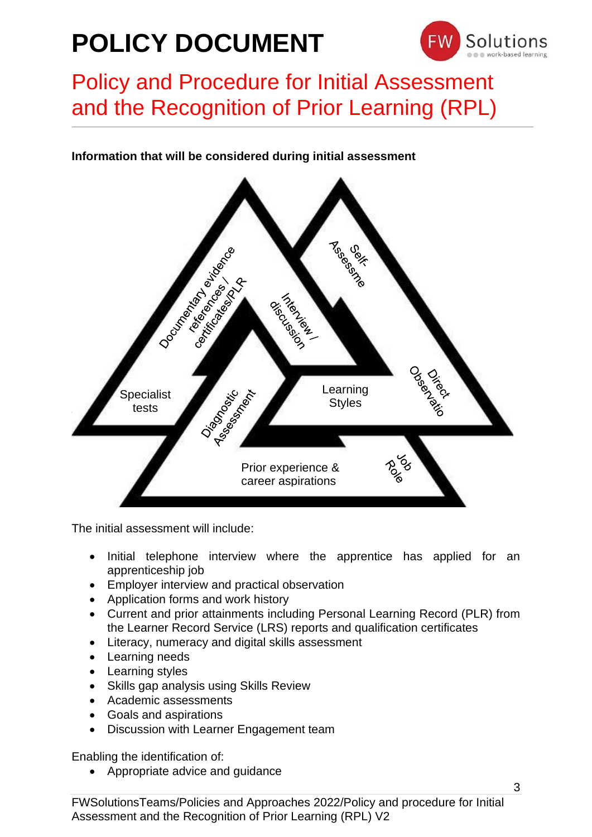

## Policy and Procedure for Initial Assessment and the Recognition of Prior Learning (RPL)

### **Information that will be considered during initial assessment**



The initial assessment will include:

- Initial telephone interview where the apprentice has applied for an apprenticeship job
- Employer interview and practical observation
- Application forms and work history
- Current and prior attainments including Personal Learning Record (PLR) from the Learner Record Service (LRS) reports and qualification certificates
- Literacy, numeracy and digital skills assessment
- Learning needs
- Learning styles
- Skills gap analysis using Skills Review
- Academic assessments
- Goals and aspirations
- Discussion with Learner Engagement team

Enabling the identification of:

• Appropriate advice and guidance

FWSolutionsTeams/Policies and Approaches 2022/Policy and procedure for Initial Assessment and the Recognition of Prior Learning (RPL) V2

3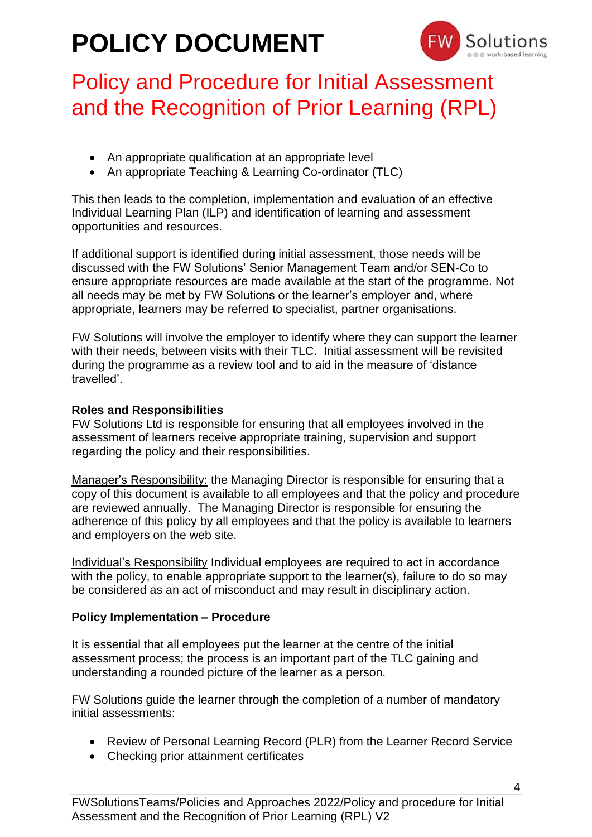

## Policy and Procedure for Initial Assessment and the Recognition of Prior Learning (RPL)

- An appropriate qualification at an appropriate level
- An appropriate Teaching & Learning Co-ordinator (TLC)

This then leads to the completion, implementation and evaluation of an effective Individual Learning Plan (ILP) and identification of learning and assessment opportunities and resources.

If additional support is identified during initial assessment, those needs will be discussed with the FW Solutions' Senior Management Team and/or SEN-Co to ensure appropriate resources are made available at the start of the programme. Not all needs may be met by FW Solutions or the learner's employer and, where appropriate, learners may be referred to specialist, partner organisations.

FW Solutions will involve the employer to identify where they can support the learner with their needs, between visits with their TLC. Initial assessment will be revisited during the programme as a review tool and to aid in the measure of 'distance travelled'.

### **Roles and Responsibilities**

FW Solutions Ltd is responsible for ensuring that all employees involved in the assessment of learners receive appropriate training, supervision and support regarding the policy and their responsibilities.

Manager's Responsibility: the Managing Director is responsible for ensuring that a copy of this document is available to all employees and that the policy and procedure are reviewed annually. The Managing Director is responsible for ensuring the adherence of this policy by all employees and that the policy is available to learners and employers on the web site.

Individual's Responsibility Individual employees are required to act in accordance with the policy, to enable appropriate support to the learner(s), failure to do so may be considered as an act of misconduct and may result in disciplinary action.

### **Policy Implementation – Procedure**

It is essential that all employees put the learner at the centre of the initial assessment process; the process is an important part of the TLC gaining and understanding a rounded picture of the learner as a person.

FW Solutions guide the learner through the completion of a number of mandatory initial assessments:

- Review of Personal Learning Record (PLR) from the Learner Record Service
- Checking prior attainment certificates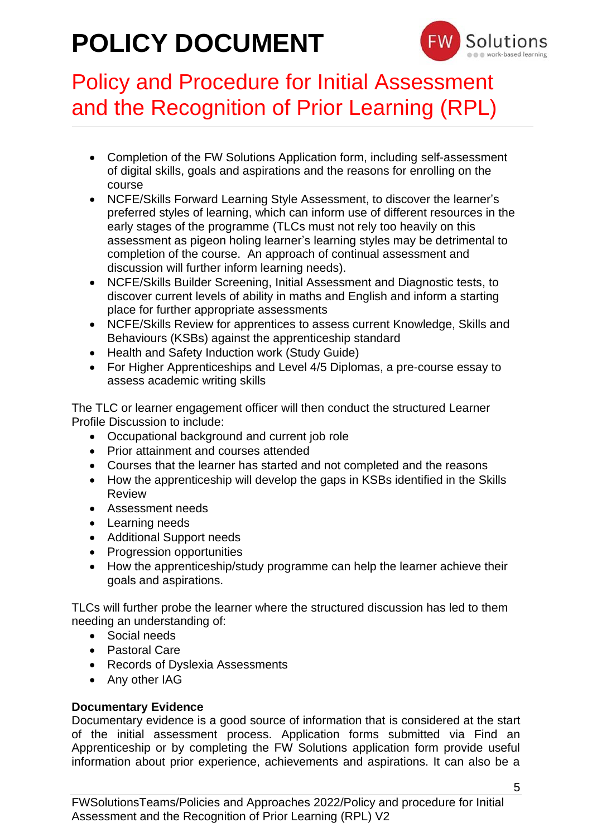

## Policy and Procedure for Initial Assessment and the Recognition of Prior Learning (RPL)

- Completion of the FW Solutions Application form, including self-assessment of digital skills, goals and aspirations and the reasons for enrolling on the course
- NCFE/Skills Forward Learning Style Assessment, to discover the learner's preferred styles of learning, which can inform use of different resources in the early stages of the programme (TLCs must not rely too heavily on this assessment as pigeon holing learner's learning styles may be detrimental to completion of the course. An approach of continual assessment and discussion will further inform learning needs).
- NCFE/Skills Builder Screening, Initial Assessment and Diagnostic tests, to discover current levels of ability in maths and English and inform a starting place for further appropriate assessments
- NCFE/Skills Review for apprentices to assess current Knowledge, Skills and Behaviours (KSBs) against the apprenticeship standard
- Health and Safety Induction work (Study Guide)
- For Higher Apprenticeships and Level 4/5 Diplomas, a pre-course essay to assess academic writing skills

The TLC or learner engagement officer will then conduct the structured Learner Profile Discussion to include:

- Occupational background and current job role
- Prior attainment and courses attended
- Courses that the learner has started and not completed and the reasons
- How the apprenticeship will develop the gaps in KSBs identified in the Skills Review
- Assessment needs
- Learning needs
- Additional Support needs
- Progression opportunities
- How the apprenticeship/study programme can help the learner achieve their goals and aspirations.

TLCs will further probe the learner where the structured discussion has led to them needing an understanding of:

- Social needs
- Pastoral Care
- Records of Dyslexia Assessments
- Any other IAG

### **Documentary Evidence**

Documentary evidence is a good source of information that is considered at the start of the initial assessment process. Application forms submitted via Find an Apprenticeship or by completing the FW Solutions application form provide useful information about prior experience, achievements and aspirations. It can also be a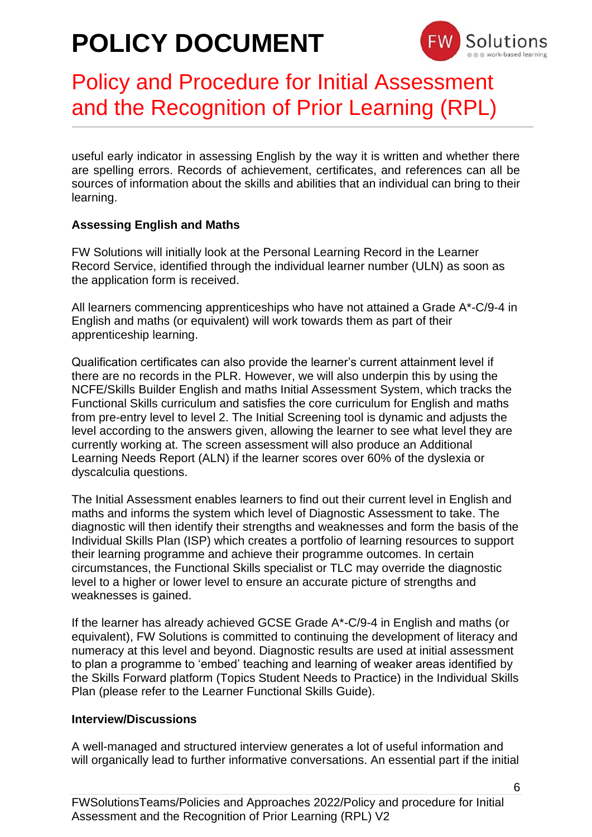

## Policy and Procedure for Initial Assessment and the Recognition of Prior Learning (RPL)

useful early indicator in assessing English by the way it is written and whether there are spelling errors. Records of achievement, certificates, and references can all be sources of information about the skills and abilities that an individual can bring to their learning.

### **Assessing English and Maths**

FW Solutions will initially look at the Personal Learning Record in the Learner Record Service, identified through the individual learner number (ULN) as soon as the application form is received.

All learners commencing apprenticeships who have not attained a Grade A\*-C/9-4 in English and maths (or equivalent) will work towards them as part of their apprenticeship learning.

Qualification certificates can also provide the learner's current attainment level if there are no records in the PLR. However, we will also underpin this by using the NCFE/Skills Builder English and maths Initial Assessment System, which tracks the Functional Skills curriculum and satisfies the core curriculum for English and maths from pre-entry level to level 2. The Initial Screening tool is dynamic and adjusts the level according to the answers given, allowing the learner to see what level they are currently working at. The screen assessment will also produce an Additional Learning Needs Report (ALN) if the learner scores over 60% of the dyslexia or dyscalculia questions.

The Initial Assessment enables learners to find out their current level in English and maths and informs the system which level of Diagnostic Assessment to take. The diagnostic will then identify their strengths and weaknesses and form the basis of the Individual Skills Plan (ISP) which creates a portfolio of learning resources to support their learning programme and achieve their programme outcomes. In certain circumstances, the Functional Skills specialist or TLC may override the diagnostic level to a higher or lower level to ensure an accurate picture of strengths and weaknesses is gained.

If the learner has already achieved GCSE Grade A\*-C/9-4 in English and maths (or equivalent), FW Solutions is committed to continuing the development of literacy and numeracy at this level and beyond. Diagnostic results are used at initial assessment to plan a programme to 'embed' teaching and learning of weaker areas identified by the Skills Forward platform (Topics Student Needs to Practice) in the Individual Skills Plan (please refer to the Learner Functional Skills Guide).

#### **Interview/Discussions**

A well-managed and structured interview generates a lot of useful information and will organically lead to further informative conversations. An essential part if the initial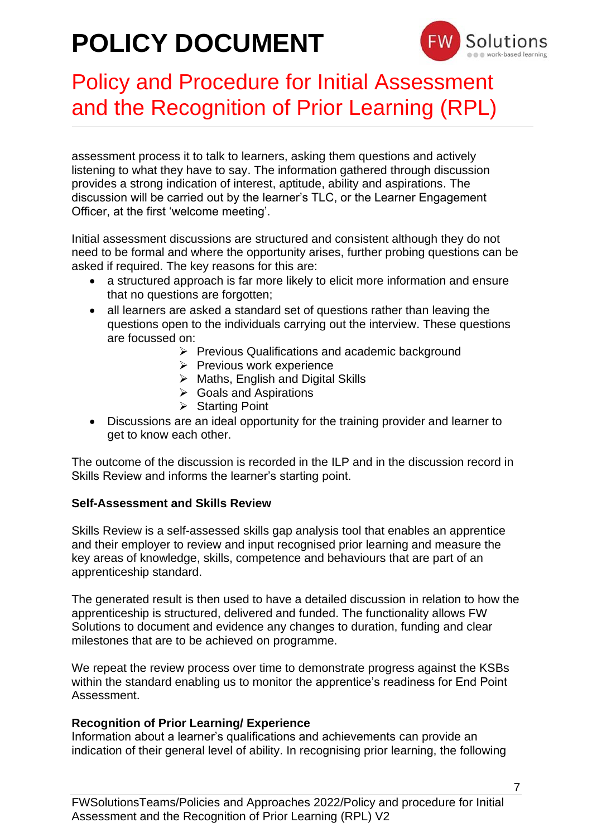

## Policy and Procedure for Initial Assessment and the Recognition of Prior Learning (RPL)

assessment process it to talk to learners, asking them questions and actively listening to what they have to say. The information gathered through discussion provides a strong indication of interest, aptitude, ability and aspirations. The discussion will be carried out by the learner's TLC, or the Learner Engagement Officer, at the first 'welcome meeting'.

Initial assessment discussions are structured and consistent although they do not need to be formal and where the opportunity arises, further probing questions can be asked if required. The key reasons for this are:

- a structured approach is far more likely to elicit more information and ensure that no questions are forgotten;
- all learners are asked a standard set of questions rather than leaving the questions open to the individuals carrying out the interview. These questions are focussed on:
	- ➢ Previous Qualifications and academic background
	- ➢ Previous work experience
	- ➢ Maths, English and Digital Skills
	- ➢ Goals and Aspirations
	- ➢ Starting Point
- Discussions are an ideal opportunity for the training provider and learner to get to know each other.

The outcome of the discussion is recorded in the ILP and in the discussion record in Skills Review and informs the learner's starting point.

#### **Self-Assessment and Skills Review**

Skills Review is a self-assessed skills gap analysis tool that enables an apprentice and their employer to review and input recognised prior learning and measure the key areas of knowledge, skills, competence and behaviours that are part of an apprenticeship standard.

The generated result is then used to have a detailed discussion in relation to how the apprenticeship is structured, delivered and funded. The functionality allows FW Solutions to document and evidence any changes to duration, funding and clear milestones that are to be achieved on programme.

We repeat the review process over time to demonstrate progress against the KSBs within the standard enabling us to monitor the apprentice's readiness for End Point Assessment.

### **Recognition of Prior Learning/ Experience**

Information about a learner's qualifications and achievements can provide an indication of their general level of ability. In recognising prior learning, the following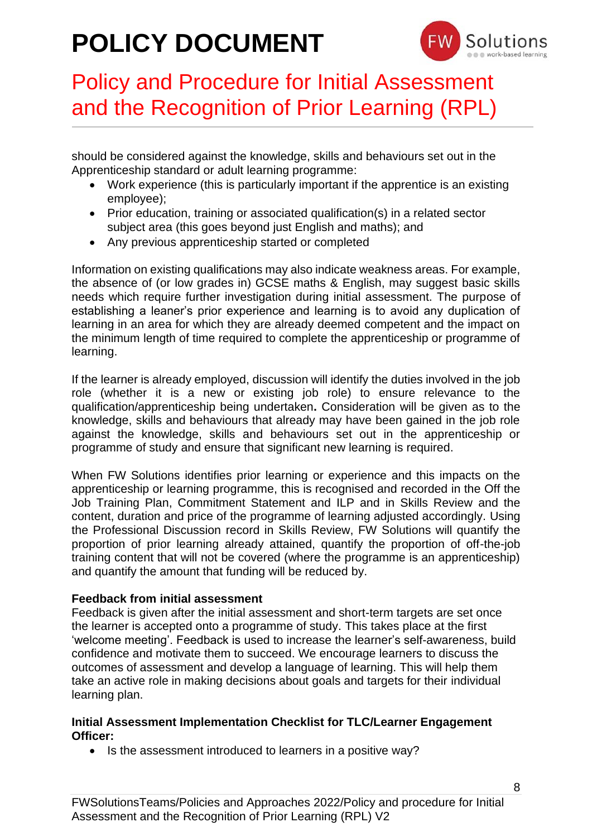

## Policy and Procedure for Initial Assessment and the Recognition of Prior Learning (RPL)

should be considered against the knowledge, skills and behaviours set out in the Apprenticeship standard or adult learning programme:

- Work experience (this is particularly important if the apprentice is an existing employee);
- Prior education, training or associated qualification(s) in a related sector subject area (this goes beyond just English and maths); and
- Any previous apprenticeship started or completed

Information on existing qualifications may also indicate weakness areas. For example, the absence of (or low grades in) GCSE maths & English, may suggest basic skills needs which require further investigation during initial assessment. The purpose of establishing a leaner's prior experience and learning is to avoid any duplication of learning in an area for which they are already deemed competent and the impact on the minimum length of time required to complete the apprenticeship or programme of learning.

If the learner is already employed, discussion will identify the duties involved in the job role (whether it is a new or existing job role) to ensure relevance to the qualification/apprenticeship being undertaken**.** Consideration will be given as to the knowledge, skills and behaviours that already may have been gained in the job role against the knowledge, skills and behaviours set out in the apprenticeship or programme of study and ensure that significant new learning is required.

When FW Solutions identifies prior learning or experience and this impacts on the apprenticeship or learning programme, this is recognised and recorded in the Off the Job Training Plan, Commitment Statement and ILP and in Skills Review and the content, duration and price of the programme of learning adjusted accordingly. Using the Professional Discussion record in Skills Review, FW Solutions will quantify the proportion of prior learning already attained, quantify the proportion of off-the-job training content that will not be covered (where the programme is an apprenticeship) and quantify the amount that funding will be reduced by.

### **Feedback from initial assessment**

Feedback is given after the initial assessment and short-term targets are set once the learner is accepted onto a programme of study. This takes place at the first 'welcome meeting'. Feedback is used to increase the learner's self-awareness, build confidence and motivate them to succeed. We encourage learners to discuss the outcomes of assessment and develop a language of learning. This will help them take an active role in making decisions about goals and targets for their individual learning plan.

#### **Initial Assessment Implementation Checklist for TLC/Learner Engagement Officer:**

• Is the assessment introduced to learners in a positive way?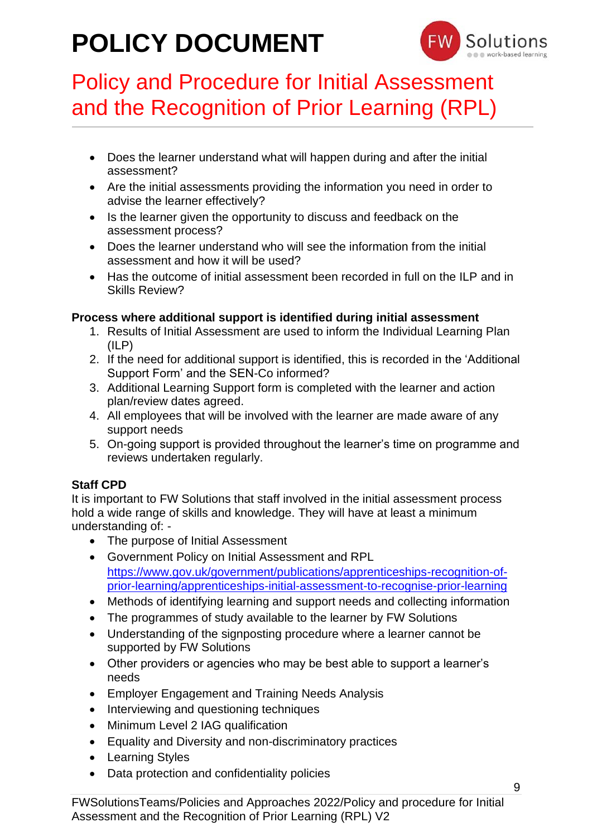

## Policy and Procedure for Initial Assessment and the Recognition of Prior Learning (RPL)

- Does the learner understand what will happen during and after the initial assessment?
- Are the initial assessments providing the information you need in order to advise the learner effectively?
- Is the learner given the opportunity to discuss and feedback on the assessment process?
- Does the learner understand who will see the information from the initial assessment and how it will be used?
- Has the outcome of initial assessment been recorded in full on the ILP and in Skills Review?

### **Process where additional support is identified during initial assessment**

- 1. Results of Initial Assessment are used to inform the Individual Learning Plan  $(ILP)$
- 2. If the need for additional support is identified, this is recorded in the 'Additional Support Form' and the SEN-Co informed?
- 3. Additional Learning Support form is completed with the learner and action plan/review dates agreed.
- 4. All employees that will be involved with the learner are made aware of any support needs
- 5. On-going support is provided throughout the learner's time on programme and reviews undertaken regularly.

### **Staff CPD**

It is important to FW Solutions that staff involved in the initial assessment process hold a wide range of skills and knowledge. They will have at least a minimum understanding of: -

- The purpose of Initial Assessment
- Government Policy on Initial Assessment and RPL [https://www.gov.uk/government/publications/apprenticeships-recognition-of](https://www.gov.uk/government/publications/apprenticeships-recognition-of-prior-learning/apprenticeships-initial-assessment-to-recognise-prior-learning)[prior-learning/apprenticeships-initial-assessment-to-recognise-prior-learning](https://www.gov.uk/government/publications/apprenticeships-recognition-of-prior-learning/apprenticeships-initial-assessment-to-recognise-prior-learning)
- Methods of identifying learning and support needs and collecting information
- The programmes of study available to the learner by FW Solutions
- Understanding of the signposting procedure where a learner cannot be supported by FW Solutions
- Other providers or agencies who may be best able to support a learner's needs
- Employer Engagement and Training Needs Analysis
- Interviewing and questioning techniques
- Minimum Level 2 IAG qualification
- Equality and Diversity and non-discriminatory practices
- Learning Styles
- Data protection and confidentiality policies

9